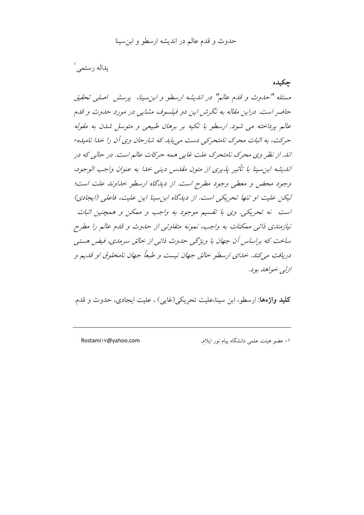يداله رستمي ١

جكيده مسئله "حدوث و قدم عالم" در اندیشه ارسطو و ابن سینا، پرسش اصلی تحقیق حاضر است. دراین مقاله به نگرش این دو فیلسوف مشایی در مورد حدوث و قلم عالم پرداخته می شود. ارسطو با تکیه بر برهان طبیعی و متوسل شدن به مقوله حرکت، به اثبات محرک نامتحرکی دست می پابد که شارحان وی آن را خدا نامیده-اند. از نظر وي محرک نامتحرک علت غايي همه حرکات عالم است. در حالي که در انديشه ابن سينا با تأثير يذيري از متون مقدس ديني خدا به عنوان واجب الوجود، وجود محض و معطی وجود مطرح است. از دیدگاه ارسطو خداوند علت است؛ لیکن علیت او تنها تحریکی است. از دیدگاه این سینا این علیت، فاعلی (ایجادی) است نه تحریکی. وی با تقسیم موجود به واجب و ممکن و همچنین اثبات نیازمندی ذاتی ممکنات به واجب، نمونه متفاوتی از حدوث و قدم عالم را مطرح ساخت که براساس آن جهان با ویژگی حدوث ذاتی از خالق سرمدی، فیض هستی دریافت می کند. خدای ارسطو خالق جهان نیست و طبعاً جهان نامخلوق او قدیم و ازلي خواهد بود.

**کلید واژهها:** ارسطو، این سینا،علیت تحریکی(غایی) ، علیت ایجادی، حدوث و قدم.

Rostami\v@yahoo.com

١- عضو هيئت علمي دانشگاه پيام نور ايلام.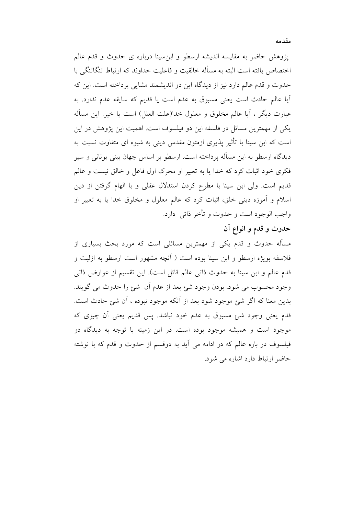یژوهش حاضر به مقایسه اندیشه ارسطو و ابن سینا درباره ی حدوث و قدم عالم اختصاص یافته است البته به مسأله خالقیت و فاعلیت خداوند که ارتباط تنگاتنگی با حدوث و قدم عالم دارد نیز از دیدگاه این دو اندیشمند مشایی پرداخته است. این که آيا عالم حادث است يعني مسبوق به عدم است يا قديم كه سايقه عدم ندارد. به عبارت ديگر ، آيا عالم مخلوق و معلول خدا(علت العلل) است يا خير. اين مسأله یکی از مهمترین مسائل در فلسفه این دو فیلسوف است. اهمیت این پژوهش در این است که ابن سینا با تأثیر پذیری ازمتون مقدس دینی به شیوه ای متفاوت نسبت به دیدگاه ارسطو به این مسأله پرداخته است. ارسطو بر اساس جهان بینی یونانی و سیر فکری خود اثبات کرد که خدا یا به تعبیر او محرک اول فاعل و خالق نیست و عالم قدیم است. ولی ابن سینا با مطرح کردن استدلال عقلی و با الهام گرفتن از دین

اسلام و آموزه دینی خلق، اثبات کرد که عالم معلول و مخلوق خدا یا به تعبیر او واجب الوجود است و حدوث و تأخر ذاتبي دارد.

## حدوث و قدم و انواع آن

مسأله حدوث و قدم یکی از مهمترین مسائلی است که مورد بحث بسیاری از فلاسفه بویژه ارسطو و ابن سینا بوده است ( آنچه مشهور است ارسطو به ازلیت و قدم عالم و ابن سينا به حدوث ذاتي عالم قائل است). اين تقسيم از عوارض ذاتي وجود محسوب مي شود. بودن وجود شئ بعد از عدم أن شئ را حدوث مي گويند. بدين معنا كه اگر شيئ موجود شود بعد از آنكه موجود نبوده ، آن شيئ حادث است. قدم یعنی وجود شئ مسبوق به عدم خود نباشد. پس قدیم یعنی آن چیزی که موجود است و همیشه موجود بوده است. در این زمینه با توجه به دیدگاه دو فیلسوف در باره عالم که در ادامه می آید به دوقسم از حدوث و قدم که با نوشته حاضر ارتباط دارد اشاره می شود.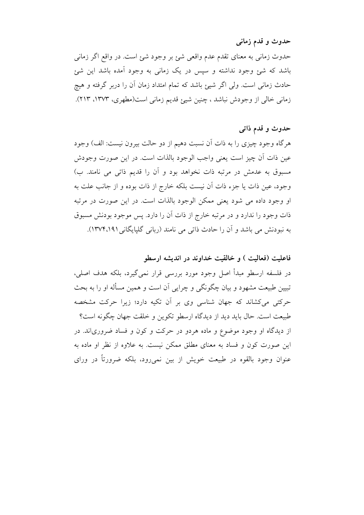حدوث و قدم زمانبي

حدوث زمانی به معنای تقدم عدم واقعی شئ بر وجود شئ است. در واقع اگر زمانی باشد که شئ وجود نداشته و سیس در یک زمانی به وجود آمده باشد این شئ حادث زمانی است. ولی اگر شیئ باشد که تمام امتداد زمان آن را دربر گرفته و هیچ زمانی خالی از وجودش نباشد ، چنین شیئ قدیم زمانی است(مطهری، ۱۳۷۳، ۲۱۳).

## حدوث و قدم ذاتبي

هر گاه وجود چیزی را به ذات آن نسبت دهیم از دو حالت بیرون نیست: الف) وجود عين ذات أن چيز است يعني واجب الوجود بالذات است. در اين صورت وجودش مسبوق به عدمش در مرتبه ذات نخواهد بود و آن را قدیم ذاتی می نامند. ب) وجود، عين ذات يا جزء ذات أن نيست بلكه خارج از ذات بوده و از جانب علت به او وجود داده می شود یعنی ممکن الوجود بالذات است. در این صورت در مرتبه ذات وجود را ندارد و در مرتبه خارج از ذات آن را دارد. پس موجود بودنش مسبوق به نبودنش می باشد و آن را حادث ذاتی می نامند (ربانی گلپایگانی ۱۳۷۴،۱۹۱).

## فاعلیت (فعالیت ) و خالقیت خداوند در اندیشه ارسطو

در فلسفه ارسطو مبدأ اصل وجود مورد بررسی قرار نمی گیرد، بلکه هدف اصلی، تبیین طبیعت مشهود و بیان چگونگی و چرایی آن است و همین مسأله او را به بحث حرکتی میکشاند که جهان شناسی وی بر آن تکیه دارد؛ زیرا حرکت مشخصه طبيعت است. حال بايد ديد از ديدگاه ارسطو تكوين و خلقت جهان چگونه است؟ از دیدگاه او وجود موضوع و ماده هردو در حرکت و کون و فساد ضروریاند. در این صورت کون و فساد به معنای مطلق ممکن نیست. به علاوه از نظر او ماده به عنوان وجود بالقوه در طبیعت خویش از بین نمی رود، بلکه ضرورتاً در ورای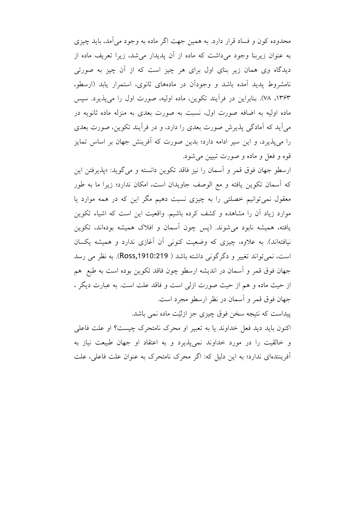محدوده کون و فساد قرار دارد. به همین جهت اگر ماده به وجود می آمد، باید چیزی به عنوان زیربنا وجود میداشت که ماده از آن پدیدار می شد، زیرا تعریف ماده از دیدگاه وی همان زیر بنای اول برای هر چیز است که از آن چیز به صورتی نامشروط پدید آمده باشد و وجودان در مادههای ثانوی، استمرار پابد (ارسطو، ۱۳۶۳، ۷۸). بنابراین در فرآیند تکوین، ماده اولیه، صورت اول را می پذیرد. سپس ماده اولیه به اضافه صورت اول، نسبت به صورت بعدی به منزله ماده ثانویه در می آید که آمادگی پذیرش صورت بعدی را دارد، و در فرآیند تکوین، صورت بعدی را میپذیرد، و این سیر ادامه دارد؛ بدین صورت که آفرینش جهان بر اساس تمایز قوه و فعل و ماده و صورت تبيين مي شود.

ارسطو جهان فوق قمر و اسمان را نيز فاقد تكوين دانسته و مي گويد: «يذيرفتن اين که آسمان تکوین یافته و مع الوصف جاویدان است، امکان ندارد؛ زیرا ما به طور معقول نمیتوانیم خصلتی را به چیزی نسبت دهیم مگر این که در همه موارد یا موارد زیاد آن را مشاهده و کشف کرده باشیم. واقعیت این است که اشیاء تکوین یافته، همیشه نابود میشوند. (پس چون آسمان و افلاک همیشه بودهاند، تکوین نیافتهاند). به علاوه، چیزی که وضعیت کنونی آن آغازی ندارد و همیشه یکسان است، نمي تواند تغيير و دگر گوني داشته باشد ( Ross,1910:219). به نظر مي رسد جهان فوق قمر و اسمان در اندیشه ارسطو چون فاقد تکوین بوده است به طبع هم از حیث ماده و هم از حیث صورت ازلی است و فاقد علت است. به عبارت دیگر ، جهان فوق قمر و آسمان در نظر ارسطو مجرد است.

پیداست که نتیجه سخن فوق چیزی جز ازلیّت ماده نمی باشد. اکنون باید دید فعل خداوند یا به تعبیر او محرک نامتحرک چیست؟ او علت فاعلی و خالقیت را در مورد خداوند نمی پذیرد و به اعتقاد او جهان طبیعت نیاز به آفرینندهای ندارد؛ به این دلیل که: اگر محرک نامتحرک به عنوان علت فاعلی، علت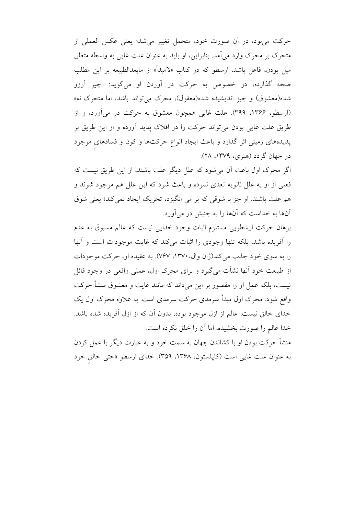حركت مى بود، در أن صورت خود، متحمل تغيير مى شد؛ يعنى عكس العملى از متحرک بر محرک وارد می آمد. بنابراین، او باید به عنوان علت غایی به واسطه متعلق میل بودن، فاعل باشد. ارسطو که در کتاب «لامبدأ» از مابعدالطبیعه بر این مطلب صحه گذارده، در خصوص به حرکت در آوردن او میگوید: «چیز آرزو شده(معشوق) و چیز اندیشیده شده(معقول)، محرک می تواند باشد، اما متحرک نه» (ارسطو، ۱۳۶۶، ۳۹۹). علت غایی همچون معشوق به حرکت در میآورد، و از طریق علت غایی بودن می تواند حرکت را در افلاک پدید آورده و از این طریق بر پدیدههای زمینی اثر گذارد و باعث ایجاد انواع حرکتها و کون و فسادهای موجود در جهان گردد (هنري، ١٣٧٩، ٢٨).

اگر محرک اول باعث آن می شود که علل دیگر علت باشند، از این طریق نیست که فعلي از او به علل ثانويه تعدي نموده و باعث شود كه اين علل هم موجود شوند و هم علت باشند. او جز با شوقی که بر می انگیزد، تحریک ایجاد نمی کند؛ یعنی شوق آنها به خداست که آنها را به جنبش در می آورد.

برهان حرکت ارسطویی مستلزم اثبات وجود خدایی نیست که عالم مسبوق به عدم را آفریده باشد، بلکه تنها وجودی را اثبات میکند که غایت موجودات است و آنها را به سوی خود جذب می کند(ژان وال، ۱۳۷۰، ۷۶۷). به عقیده او، حرکت موجودات از طبیعت خود آنها نشأت میگیرد و برای محرک اول، عملی واقعی در وجود قائل نیست، بلکه عمل او را مقصور بر این میداند که مانند غایت و معشوق منشأ حرکت واقع شود. محرک اول مبدأ سرمدی حرکت سرمدی است. به علاوه محرک اول یک خدای خالق نیست. عالم از ازل موجود بوده، بدون آن که از ازل آفریده شده باشد. خدا عالم را صورت بخشیده، اما آن را خلق نکرده است.

منشأ حرکت بودن او با کشاندن جهان به سمت خود و به عبارت دیگر با عمل کردن به عنوان علت غايي است (كايلستون، ١٣۶٨، ٣۵٩). خداي ارسطو «حتى خالق خود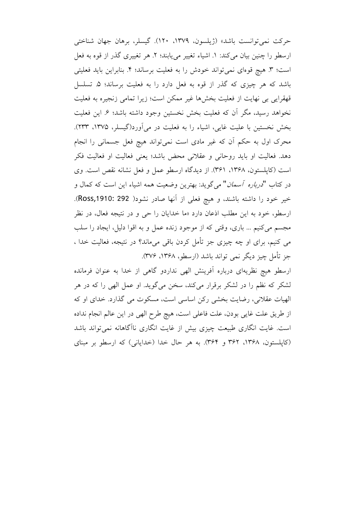حركت نمي توانست باشد» (ژيلسون، ١٣٧٩، ١٢٠). گيسلر، برهان جهان شناختي ارسطو را چنین بیان میکند: ۱. اشیاء تغییر می یابند؛ ۲. هر تغییری گذر از قوه به فعل است؛ ٣. هيچ قوهاي نمي تواند خودش را به فعليت برساند؛ ۴. بنابراين بايد فعليتي باشد که هر چیزی که گذر از قوه به فعل دارد را به فعلیت برساند؛ ۵. تسلسل قهقرایی بی نهایت از فعلیت بخشها غیر ممکن است؛ زیرا تمامی زنجیره به فعلیت نخواهد رسید، مگر آن که فعلیت بخش نخستین وجود داشته باشد؛ ۶ـ این فعلیت بخش نخستین با علیت غایی، اشیاء را به فعلیت در میآورد(گیسلر، ۱۳۷۵، ۲۳۳). محرک اول به حکم اَن که غیر مادی است نمیتواند هیچ فعل جسمانی را انجام دهد. فعالیت او باید روحانی و عقلانی محض باشد؛ یعنی فعالیت او فعالیت فکر است (كايلستون، ١٣۶٨، ٣۶١). از ديدگاه ارسطو عمل و فعل نشانه نقص است. وي در کتاب "*درباره آسمان*" میگوید: بهترین وضعیت همه اشیاء این است که کمال و خير خود را داشته باشند، و هيچ فعلي از آنها صادر نشود( Ross,1910: 292). ارسطو، خود به این مطلب اذعان دارد «ما خدایان را حی و در نتیجه فعال، در نظر مجسم مي كنيم ... باري، وقتى كه از موجود زنده عمل و به اقوا دليل، ايجاد را سلب می کنیم، برای او چه چیزی جز تأمل کردن باقی میماند؟ در نتیجه، فعالیت خدا ، جز تأمل چيز ديگر نمي تواند باشد (ارسطو، ۱۳۶۸، ۳۷۶).

ارسطو هیچ نظریهای درباره أفرینش الهی نداردو گاهی از خدا به عنوان فرمانده لشکر که نظم را در لشکر برقرار میکند، سخن میگوید. او عمل الهی را که در هر الهيات عقلاني، رضايت بخشي رکن اساسي است، مسکوت مي گذارد. خداي او که از طريق علت غايي بودن، علت فاعلى است، هيچ طرح الهي در اين عالم انجام نداده است. غایت انگاری طبیعت چیزی بیش از غایت انگاری ناآگاهانه نمی تواند باشد (کاپلستون، ۱۳۶۸، ۳۶۲ و ۳۶۴). به هر حال خدا (خدایانی) که ارسطو بر مبنای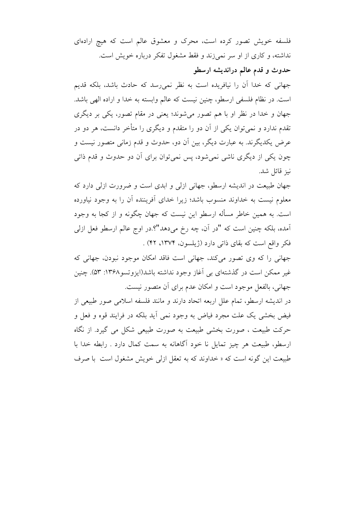فلسفه خویش تصور کرده است، محرک و معشوق عالم است که هیچ ارادهای نداشته، و کاری از او سر نمیزند و فقط مشغول تفکر درباره خویش است. حدوث و قدم عالم دراندیشه ارسطو

جهانی که خدا آن را نیافریده است به نظر نمی رسد که حادث باشد، بلکه قدیم است. در نظام فلسفی ارسطو، چنین نیست که عالم وابسته به خدا و اراده الهی باشد. جهان و خدا در نظر او با هم تصور میشوند؛ یعنی در مقام تصور، یکی بر دیگری تقدم ندارد و نمیٍ توان یکی از آن دو را متقدم و دیگری را متأخر دانست، هر دو در عرض یکدیگرند. به عبارت دیگر، بین آن دو، حدوث و قدم زمانی متصور نیست و چون یکی از دیگری ناشی نمی شود، پس نمی توان برای آن دو حدوث و قدم ذاتی نيز قائل شد.

جهان طبیعت در اندیشه ارسطو، جهانی ازلی و ابدی است و ضرورت ازلی دارد که معلوم نیست به خداوند منسوب باشد؛ زیرا خدای آفریننده آن را به وجود نیاورده است. به همین خاطر مسأله ارسطو این نیست که جهان چگونه و از کجا به وجود آمده، بلکه چنین است که "در آن، چه رخ میدهد"؟.در اوج عالم ارسطو فعل ازلی فكر واقع است كه بقاي ذاتي دارد (ژيلسون، ١٣٧۴، ۴۲) .

جهاني را كه وي تصور مي كند، جهاني است فاقد امكان موجود نبودن، جهاني كه غیر ممکن است در گذشتهای بی آغاز وجود نداشته باشد(ایزوتسو ۱۳۶۸: ۵۳). چنین جهانی، بالفعل موجود است و امکان عدم برای آن متصور نیست.

در اندیشه ارسطو، تمام علل اربعه اتحاد دارند و مانند فلسفه اسلامی صور طبیعی از فیض بخشی یک علت مجرد فیاض به وجود نمی آید بلکه در فرایند قوه و فعل و حرکت طبیعت ، صورت بخشی طبیعت به صورت طبیعی شکل می گیرد. از نگاه ارسطو، طبیعت هر چیز تمایل نا خود آگاهانه به سمت کمال دارد . رابطه خدا با طبیعت این گونه است که « خداوند که به تعقل ازلی خویش مشغول است با صرف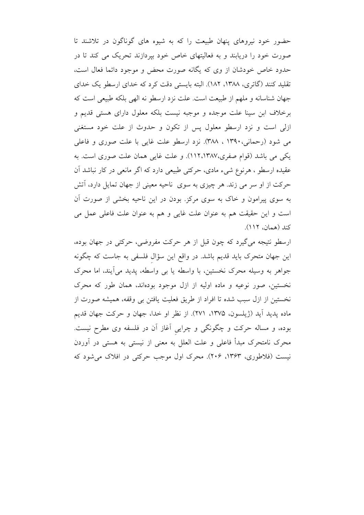حضور خود نیروهای پنهان طبیعت را که به شیوه های گوناگون در تلاشند تا صورت خود را دریابند و به فعالیتهای خاص خود بپردازند تحریک می کند تا در حدود خاص خودشان از وی که یگانه صورت محض و موجود دائما فعال است. تقلید کنند (گاتری، ۱۳۸۸، ۱۸۲). البته بایستی دقت کرد که خدای ارسطو یک خدای جهان شناسانه و ملهم از طبیعت است. علت نزد ارسطو نه الهی بلکه طبیعی است که برخلاف ابن سینا علت موجده و موجبه نیست بلکه معلول دارای هستی قدیم و ازلی است و نزد ارسطو معلول پس از تکون و حدوث از علت خود مستغنی می شود (رحمانی،۱۳۹۰ ، ۳۸۸). نزد ارسطو علت غایی با علت صوری و فاعلی یکی می باشد (قوام صفری،۱۱۲،۱۳۸۷). و علت غایی همان علت صوری است. به عقیده ارسطو ، هرنوع شیء مادی، حرکتی طبیعی دارد که اگر مانعی در کار نباشد آن حرکت از او سر می زند. هر چیزی به سوی ناحیه معینی از جهان تمایل دارد، أتش به سوی پیرامون و خاک به سوی مرکز. بودن در این ناحیه بخشی از صورت آن است و این حقیقت هم به عنوان علت غایی و هم به عنوان علت فاعلی عمل می كند (همان، ١١٢).

ارسطو نتیجه می گیرد که چون قبل از هر حرکت مفروضی، حرکتی در جهان بوده، این جهان متحرک باید قدیم باشد. در واقع این سؤال فلسفی به جاست که چگونه جواهر به وسیله محرک نخستین، با واسطه یا بی واسطه، پدید می آیند، اما محرک نخستین، صور نوعیه و ماده اولیه از ازل موجود بودهاند، همان طور که محرک نخستين از ازل سبب شده تا افراد از طريق فعليت يافتن بي وقفه، هميشه صورت از ماده يديد آيد (ژيلسون، ١٣٧۵، ٢٧١). از نظر او خدا، جهان و حركت جهان قديم بوده، و مساله حرکت و چگونگی و چرایی آغاز آن در فلسفه وی مطرح نیست. محرک نامتحرک مبدأ فاعلی و علت العلل به معنی از نیستی به هستی در آوردن نیست (فلاطوری، ۱۳۶۳، ۲۰۶). محرک اول موجب حرکتی در افلاک می شود که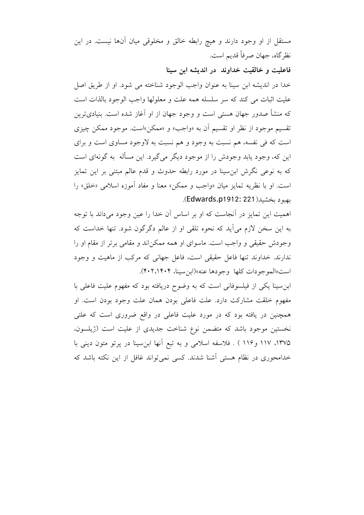مستقل از او وجود دارند و هیچ رابطه خالق و مخلوقی میان آنها نیست. در این نظر گاه، جهان صرفاً قديم است.

فاعلیت و خالقیت خداوند در اندیشه این سینا

خدا در انديشه ابن سينا به عنوان واجب الوجود شناخته مي شود. او از طريق اصل عليت اثبات مي كند كه سر سلسله همه علت و معلولها واجب الوجود بالذات است که منشأ صدور جهان هستی است و وجود جهان از او آغاز شده است. بنیادیترین تقسیم موجود از نظر او تقسیم آن به «واجب» و «ممکن»است. موجود ممکن چیزی است که فی نفسه، هم نسبت به وجود و هم نسبت به لاوجود مساوی است و برای این که، وجود پابد وجودش را از موجود دیگر می گیرد. این مسأله به گونهای است که به نوعی نگرش ابن سینا در مورد رابطه حدوث و قدم عالم مبتنی بر این تمایز است. او با نظريه تمايز ميان «واجب و ممكن» معنا و مفاد أموزه اسلامي «خلق» را بهبود بخشيد (Edwards.p1912: 221).

اهمیت این تمایز در آنجاست که او بر اساس آن خدا را عین وجود میداند با توجه به این سخن لازم میآید که نحوه تلقی او از عالم دگرگون شود. تنها خداست که وجودش حقیقی و واجب است. ماسوای او همه ممکناند و مقامی برتر از مقام او را ندارند. خداوند تنها فاعل حقیقی است، فاعل جهانی که مرکب از ماهیت و وجود است «الموجودات كلها وجودها عنه» (ابن سينا، ۴۰۲،۱۴۰۴).

ابن سینا یکی از فیلسوفانی است که به وضوح دریافته بود که مفهوم علیت فاعلی با مفهوم خلقت مشاركت دارد. علت فاعلى بودن همان علت وجود بودن است. او همچنین در یافته بود که در مورد علیت فاعلی در واقع ضروری است که علتی نخستین موجود باشد که متضمن نوع شناخت جدیدی از علیت است (ژیلسون، ۱۳۷۵، ۱۱۷ و۱۱۶ ) . فلاسفه اسلامی و به تبع آنها ابن سینا در پرتو متون دینی با خدامحوری در نظام هستی آشنا شدند. کسی نمی تواند غافل از این نکته باشد که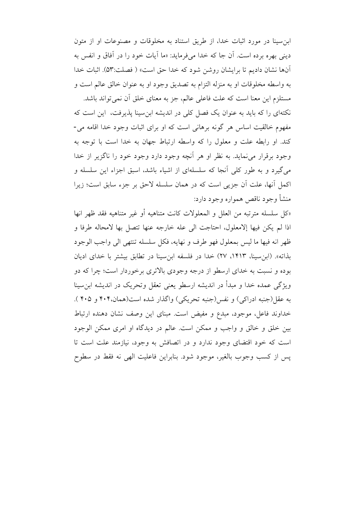ابن سینا در مورد اثبات خدا، از طریق استناد به مخلوقات و مصنوعات او از متون ديني بهره برده است. آن جا كه خدا مي فرمايد: «ما آيات خود را در آفاق و انفس به آنها نشان داديم تا برايشان روشن شود كه خدا حق است» ( فصلت:۵۳). اثبات خدا به واسطه مخلوقات او به منزله التزام به تصديق وجود او به عنوان خالق عالم است و

مستلزم این معنا است که علت فاعلی عالم، جز به معنای خلق آن نمی تواند باشد. نکتهای را که باید به عنوان یک فصل کلی در اندیشه ابن سینا پذیرفت، این است که مفهوم خالقیت اساس هر گونه برهانی است که او برای اثبات وجود خدا اقامه می-كند. او رابطه علت و معلول را كه واسطه ارتباط جهان به خدا است با توجه به وجود برقرار می نماید. به نظر او هر أنچه وجود دارد وجود خود را ناگزیر از خدا مي گيرد و به طور كلي آنجا كه سلسلهاي از اشياء باشد، اسبق اجزاء اين سلسله و اكمل أنها، علت أن جزيي است كه در همان سلسله لاحق بر جزء سابق است؛ زيرا منشأ وجود ناقص همواره وجود دارد:

«كلَّ سلسله مترتَّبه من العلل و المعلولات كانت متناهيه أو غير متناهيه فقد ظهر انها اذا لم يكن فيها إلامعلول، احتاجت الى عله خارجه عنها تتصل بها لامحاله طرفا و ظهر انه فيها ما ليس بمعلول فهو طرف و نهايه، فكل سلسله تنتهي الى واجب الوجود بذاته». (ابن سينا، ١۴١٣، ٢٧) خدا در فلسفه ابن سينا در تطابق بيشتر با خداى اديان بوده و نسبت به خدای ارسطو از درجه وجودی بالاتری برخوردار است؛ چرا که دو ويژگي عمده خدا و مبدأ در انديشه ارسطو يعني تعقل وتحريک در انديشه ابن سينا به عقل(جنبه ادراکی) و نفس(جنبه تحریکی) واگذار شده است(همان،۴۰۴ و ۴۰۵ ). خداوند فاعل، موجود، مبدع و مفيض است. مبناى اين وصف نشان دهنده ارتباط بین خلق و خالق و واجب و ممکن است. عالم در دیدگاه او امری ممکن الوجود است که خود اقتضای وجود ندارد و در اتصافش به وجود، نیازمند علت است تا يس از كسب وجوب بالغير، موجود شود. بنابراين فاعليت الهي نه فقط در سطوح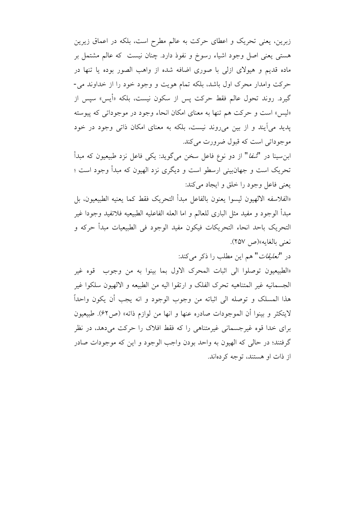زبرین، یعنی تحریک و اعطای حرکت به عالم مطرح است، بلکه در اعماق زیرین هستی یعنی اصل وجود اشیاء رسوخ و نفوذ دارد. چنان نیست که عالم مشتمل بر ماده قدیم و هیولای ازلی با صوری اضافه شده از واهب الصور بوده یا تنها در حرکت وامدار محرک اول باشد، بلکه تمام هویت و وجود خود را از خداوند می-گیرد. روند تحول عالم فقط حرکت پس از سکون نیست، بلکه «أیس» سیس از «ليس» است و حركت هم تنها به معناي امكان انحاء وجود در موجودات<sub>ي</sub> كه پيوسته یدید می آیند و از بین میروند نیست، بلکه به معنای امکان ذاتی وجود در خود موجوداتي است كه قبول ضرورت مي كند.

ابنِ سينا در "*شفا*" از دو نوع فاعل سخن مي گويد: يكي فاعل نزد طبيعيون كه مبدأ تحریک است و جهانبینی ارسطو است و دیگری نزد الهیون که مبدأ وجود است ؛ يعني فاعل وجود را خلق و ايجاد مي كند:

«الفلاسفه الالهيون ليسوا يعنون بالفاعل مبدأ التحريك فقط كما يعنيه الطبيعيون، بل مبدأ الوجود و مفيد مثل الباري للعالم و اما العله الفاعليه الطبيعيه فلاتفيد وجودا غير التحريك باحد انحاء التحريكات فيكون مفيد الوجود في الطبيعيات مبدأ حركه و نعني بالغايه»(ص ٢٥٧).

در "*تعليقات*" هم اين مطلب را ذكر مى كند:

«الطبيعيون توصلوا الى اثبات المحرك الاول بما بينوا به من وجوب قوه غير الجسمانيه غير المتناهيه تحرك الفلك و ارتقوا اليه من الطبيعه و الالهيون سلكوا غير هذا المسلك و توصله الى اثباته من وجوب الوجود و انه يجب أن يكون واحداً لايتكثر و بينوا أن الموجودات صادره عنها و انها من لوازم ذاته» (ص۶۲). طبيعيون برای خدا قوه غیرجسمانی غیرمتناهی را که فقط افلاک را حرکت میدهد، در نظر گرفتند؛ در حالي كه الهيون به واحد بودن واجب الوجود و اين كه موجودات صادر از ذات او هستند، توجه کردهاند.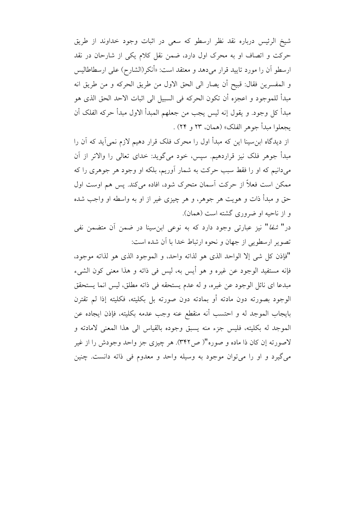شيخ الرئيس درباره نقد نظر ارسطو كه سعى در اثبات وجود خداوند از طريق حرکت و اتصاف او به محرک اول دارد، ضمن نقل کلام یکی از شارحان در نقد ارسطو أن را مورد تاييد قرار ميدهد و معتقد است: «أنكر(الشارح) على ارسطاطاليس و المفسرين فقال: قبيح أن يصار الى الحق الاول من طريق الحركه و من طريق انه مبدأ للموجود و اعجزِه أن تكون الحركه في السبيل الى اثبات الاحد الحق الذي هو مبدأ كل وجود. و يقول إنه ليس يجب من جعلهم المبدأ الاول مبدأ حركه الفلك أن يجعلوا مبدأ جوهر الفلك» (همان، ٢٣ و ٢۴) .

از دیدگاه ابنِ سینا این که مبدأ اول را محرک فلک قرار دهیم لازم نمیآید که آن را مبدأ جوهر فلک نیز قراردهیم. سیس، خود میگوید: خدای تعالی را والاتر از آن می دانیم که او را فقط سبب حرکت به شمار آوریم، بلکه او وجود هر جوهری را که ممکن است فعلاً از حرکت اسمان متحرک شود، افاده میکند. پس هم اوست اول حق و مبدأ ذات و هویت هر جوهر، و هر چیزی غیر از او به واسطه او واجب شده و از ناحیه او ضروری گشته است (همان).

در" *شفا*" نیز عبارتی وجود دارد که به نوعی ابنِسینا در ضمن آن متضمن نفی تصویر ارسطویی از جهان و نحوه ارتباط خدا با آن شده است:

"فإذن كل شي إلا الواحد الذي هو لذاته واحد، و الموجود الذي هو لذاته موجود، فإنه مستفيد الوجود عن غيره و هو أيس به، ليس في ذاته و هذا معنى كون الشيء مبدعًا اي نائل الوجود عن غيره، و له عدم يستحقه في ذاته مطلق، ليس انما يستحقق الوجود بصورته دون مادته أو بمادته دون صورته بل بكليته، فكليته إذا لم تقترن بايجاب الموجد له و احتسب أنه منقطع عنه وجب عدمه بكليته، فإذن ايجاده عن الموجد له بكليته، فليس جزء منه يسبق وجوده بالقياس الى هذا المعنى لامادته و لاصورته إن كان ذا ماده و صوره"( ص٣۴٢). هر چيزي جز واحد وجودش را از غير مي گيرد و او را مي توان موجود به وسيله واحد و معدوم في ذاته دانست. چنين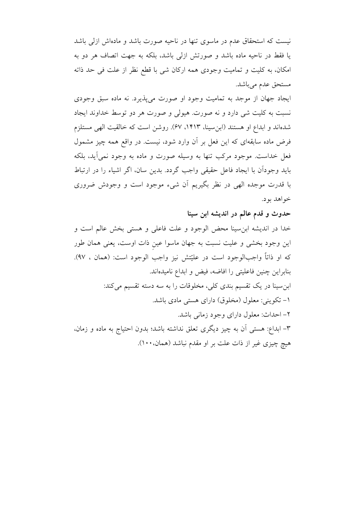نیست که استحقاق عدم در ماسوی تنها در ناحیه صورت باشد و مادهاش ازلی باشد یا فقط در ناحیه ماده باشد و صورتش ازلی باشد، بلکه به جهت اتصاف هر دو به امکان، به کلیت و تمامیت وجودی همه ارکان شی با قطع نظر از علت فی حد ذاته مستحق عدم مي باشد.

ایجاد جهان از موجد به تمامیت وجود او صورت می پذیرد. نه ماده سبق وجودی نسبت به کلیت شی دارد و نه صورت هیولی و صورت هر دو توسط خداوند ایجاد شدهاند و ابداع او هستند (ابن سينا، ١۴١٣، ٤٧). روشن است كه خالقيت الهي مستلزم فرض ماده سابقهای که این فعل بر آن وارد شود، نیست. در واقع همه چیز مشمول فعل خداست. موجود مرکب تنها به وسیله صورت و ماده به وجود نمی آید، بلکه بايد وجودان با ايجاد فاعل حقيقى واجب گردد. بدين سان، اگر اشياء را در ارتباط با قدرت موجده الهي در نظر بگيريم أن شيء موجود است و وجودش ضروري خواهد بود.

حدوث و قدم عالم در اندیشه ابن سینا

خدا در اندیشه ابن سینا محض الوجود و علت فاعلی و هستی بخش عالم است و این وجود بخشی و علیت نسبت به جهان ماسوا عین ذات اوست، یعنی همان طور كه او ذاتاً واجبالوجود است در عليّتش نيز واجب الوجود است: (همان ، ٩٧). بنابراين چنين فاعليتي را افاضه، فيض و ابداع ناميدهاند. ابن سینا در یک تقسیم بندی کلی، مخلوقات را به سه دسته تقسیم می کند: ۱– تکوینی: معلول (مخلوق) دارای هستی مادی باشد. ۲– احداث: معلول دارای وجود زمانی باشد. ۳– ابداع: هستی آن به چیز دیگری تعلق نداشته باشد؛ بدون احتیاج به ماده و زمان، هيچ چيزي غير از ذات علت بر او مقدم نباشد (همان، ١٠٠).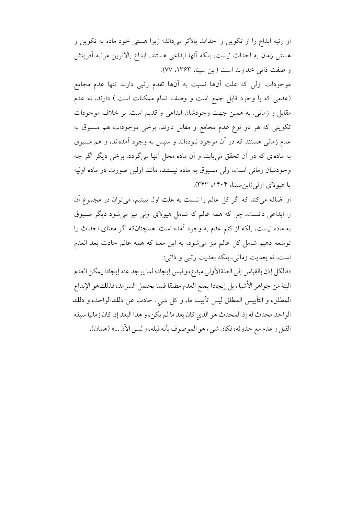او رتبه ابداع را از تكوين و احداث بالاتر مى داند؛ زيرا هستى خود ماده به تكوين و هستی زمان به احداث نیست، بلکه آنها ابداعی هستند. ابداع بالاترین مرتبه آفرینش و صفت ذاتی خداوند است (ابن سینا، ۱۳۶۳، ۷۷).

موجودات ازلی که علت آنها نسبت به آنها تقدم رتبی دارند تنها عدم مجامع (عدمی که با وجود قابل جمع است و وصف تمام ممکنات است ) دارند، نه عدم مقابل و زمانی. به همین جهت وجودشان ابداعی و قدیم است. بر خلاف موجودات تکوینی که هر دو نوع عدم مجامع و مقابل دارند. برخی موجودات هم مسبوق به عدم زمانی هستند که در آن موجود نبودهاند و سپس به وجود آمدهاند، و هم مسبوق به مادهای که در آن تحقق می یابند و آن ماده محل آنها می گردد. برخی دیگر اگر چه وجودشان زمانی است، ولی مسبوق به ماده نیستند، مانند اولین صورت در ماده اولیه یا هیولای اولی (ابن سینا، ۱۴۰۴، ۳۴۳).

او اضافه می کند که اگر کل عالم را نسبت به علت اول ببینیم، می توان در مجموع آن را ابداعی دانست، چرا که همه عالم که شامل هیولای اولی نیز می شود دیگر مسبوق به ماده نیست، بلکه از کتم عدم به وجود اَمده است. همچنانکه اگر معنای احداث را توسعه دهيم شامل كل عالم نيز مي شود، به اين معنا كه همه عالم حادث بعد العدم است، نه بعديت زماني، بلكه بعديت رتبي و ذاتي:

«فالكل إذن بالقياس إلى العلة الأولى مبدع، و ليس إيجاده لما يوجد عنه إيجادا يمكن العدم البتة من جواهر الأشياء بل إيجادا يمنع العدم مطلقا فيما يحتمل السرمد، فذلكهو الإبداع المطلق، و التأييس المطلق ليس تأييسا ما، و كل شيء حادث عن ذلك الواحد، و ذلك الواحد محدث له إذ المحدث هو الذي كان بعد ما لم يكن، و هذا البعد إن كان زمانيا سبقه القبل و عدم مع حدوثه، فكان شيء هو الموصوف بأنه قبله، و ليس الأن ...» (همان).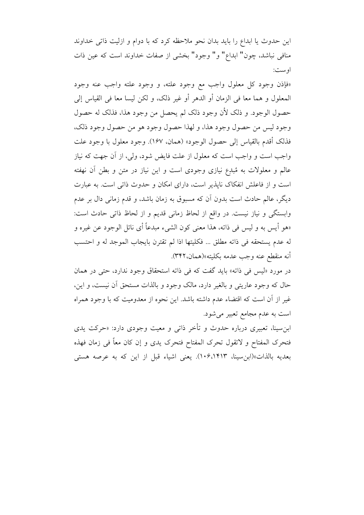این حدوث یا ابداع را باید بدان نحو ملاحظه کرد که با دوام و ازلیت ذاتی خداوند منافی نباشد، چون" ابداع" و" وجود" بخشی از صفات خداوند است که عین ذات اوست:

«فإذن وجود كل معلول واجب مع وجود علته، و وجود علته واجب عنه وجود المعلول و هما معا في الزمان أو الدهر أو غير ذلك، و لكن ليسا معا في القياس إلى حصول الوجود. و ذلک لأن وجود ذلک لم يحصل من وجود هذا، فذلک له حصول وجود ليس من حصول وجود هذا، و لهذا حصول وجود هو من حصول وجود ذلك، فذلك أقدم بالقياس إلى حصول الوجود» (همان، ١۶٧). وجود معلول با وجود علت واجب است و واجب است که معلول از علت فایض شود، ولی، از آن جهت که نیاز عالم و معلولات به مُبدِع نیازی وجودی است و این نیاز در متن و بطن آن نهفته است و از فاعلش انفکاک نایذیر است، دارای امکان و حدوث ذاتی است. به عبارت دیگر، عالم حادث است بدون آن که مسبوق به زمان باشد، و قدم زمانی دال بر عدم وابستگی و نیاز نیست. در واقع از لحاظ زمانی قدیم و از لحاظ ذاتی حادث است: «هو أيس به و ليس في ذاته، هذا معنى كون الشيء مبدعاً أي نائل الوجود عن غيره و له عدم يستحقه في ذاته مطلق ... فكليتها اذا لم تقترن بايجاب الموجد له و احتسب أنه منقطع عنه وجب عدمه بكليته»(همان،٣۴٢).

در مورد «ليس في ذاته» بايد گفت كه في ذاته استحقاق وجود ندارد، حتى در همان حال که وجود عاریتی و بالغیر دارد، مالک وجود و بالذات مستحق آن نیست، و این، غیر از آن است که اقتضاء عدم داشته باشد. این نحوه از معدومیت که با وجود همراه است به عدم مجامع تعبیر می شود.

ابن سینا، تعبیری درباره حدوث و تأخر ذات<sub>ی</sub> و معیت وجودی دارد: «حرکت یدی فتحرك المفتاح و لاتقول تحرك المفتاح فتحرك يدى و إن كان معاً في زمان فهذه بعديه بالذات»(ابن سينا، ١٠۶،١۴١٣). يعني اشياء قبل از اين كه به عرصه هستي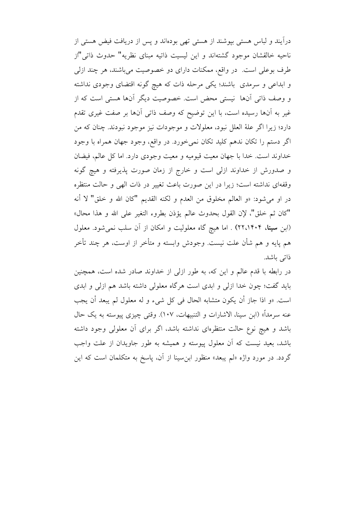دراًيند و لباس هستي بيوشند از هستي تهي بودهاند و پس از دريافت فيض هستي از ناحيه خالقشان موجود گشتهاند و اين ليسيت ذاتيه مبناي نظريه" حدوث ذاتي "از طرف بوعلي است. در واقع، ممكنات داراي دو خصوصيت مي باشند، هر چند ازلي و ابداعی و سرمدی باشند؛ یکی مرحله ذات که هیچ گونه اقتضای وجودی نداشته و وصف ذاتی آنها نیستی محض است. خصوصیت دیگر آنها هستی است که از غیر به آنها رسیده است، با این توضیح که وصف ذاتی آنها بر صفت غیری تقدم دارد؛ زیرا اگر علهٔ العلل نبود، معلولات و موجودات نیز موجود نبودند. چنان که من اگر دستم را تکان ندهم کلید تکان نمی خورد. در واقع، وجود جهان همراه با وجود خداوند است. خدا با جهان معيت قيوميه و معيت وجودي دارد. اما كل عالم، فيضان و صدورش از خداوند ازلی است و خارج از زمان صورت پذیرفته و هیچ گونه وقفهای نداشته است؛ زیرا در این صورت باعث تغییر در ذات الهی و حالت منتظره در او مي شود: «و العالم مخلوق من العدم و لكنه القديم "كان الله و خلق" لا أنه "كان ثم خلق"، لإن القول بحدوث عالم يؤذن بطروء التغير على الله و هذا محال» (ابن **سینا، ۲۲،۱۴۰۴)** . اما هیچ گاه معلولیت و امکان از آن سلب نمیشود. معلول هم پایه و هم شأن علت نیست. وجودش وابسته و متأخر از اوست، هر چند تأخر ذاتی باشد.

در رابطه با قدم عالم و این که، به طور ازلی از خداوند صادر شده است، همچنین باید گفت؛ چون خدا ازلی و ابدی است هرگاه معلولی داشته باشد هم ازلی و ابدی است. «و اذا جازٍ أن يكون متشابه الحال في كلِّ شيء و له معلول لم يبعد أن يجب عنه سرمداً» (ابن سينا، الاشارات و التنبيهات، ١٠٧). وقتى چيزى پيوسته به يک حال باشد و هیچ نوع حالت منتظرهای نداشته باشد، اگر برای آن معلولی وجود داشته باشد، بعید نیست که آن معلول پیوسته و همیشه به طور جاویدان از علت واجب گردد. در مورد واژه «لم یبعد» منظور ابنِ سینا از آن، پاسخ به متکلمان است که این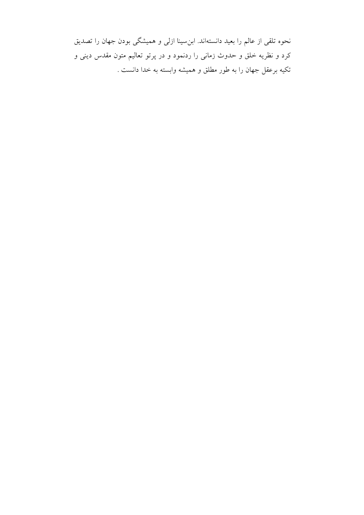نحوه تلقی از عالم را بعید دانستهاند. ابنِسینا ازلی و همیشگی بودن جهان را تصدیق کرد و نظریه خلق و حدوث زمانی را ردنمود و در پرتو تعالیم متون مقدس دینی و تکیه برعقل جهان را به طور مطلق و همیشه وابسته به خدا دانست .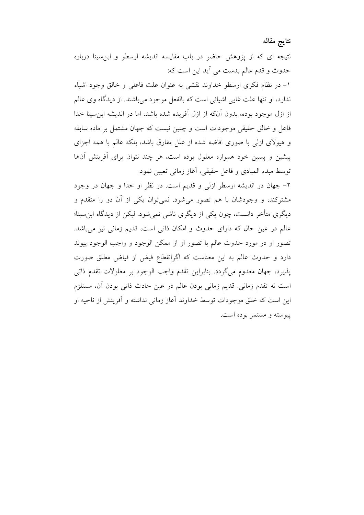نتايج مقاله

نتیجه ای که از پژوهش حاضر در باب مقایسه اندیشه ارسطو و ابن سینا درباره حدوث و قدم عالم بدست می آید این است که:

١- در نظام فكرى ارسطو خداوند نقشى به عنوان علت فاعلى و خالق وجود اشياء ندارد، او تنها علت غايي اشيائي است كه بالفعل موجود مي باشند. از ديدگاه وي عالم از ازل موجود بوده، بدون آنکه از ازل آفریده شده باشد. اما در اندیشه ابن سینا خدا فاعل و خالق حقیقی موجودات است و چنین نیست که جهان مشتمل بر ماده سابقه و هیولای ازلی با صوری افاضه شده از علل مفارق باشد، بلکه عالم با همه اجزای پیشین و پسین خود همواره معلول بوده است، هر چند نتوان برای آفرینش آنها توسط مبدء المبادي و فاعل حقيقي، آغاز زماني تعيين نمود.

۲- جهان در اندیشه ارسطو ازلی و قدیم است. در نظر او خدا و جهان در وجود مشترکند، و وجودشان با هم تصور میشود. نمیتوان یکی از آن دو را متقدم و دیگری متأخر دانست، چون یکی از دیگری ناشی نمی شود. لیکن از دیدگاه ابن سینا؛ عالم در عین حال که دارای حدوث و امکان ذاتی است، قدیم زمانی نیز میباشد. تصور او در مورد حدوث عالم با تصور او از ممکن الوجود و واجب الوجود پیوند دارد و حدوث عالم به این معناست که اگرانقطاع فیض از فیاض مطلق صورت پذیرد، جهان معدوم میگردد. بنابراین تقدم واجب الوجود بر معلولات تقدم ذاتر است نه تقدم زمانی. قدیم زمانی بودن عالم در عین حادث ذاتی بودن آن، مستلزم این است که خلق موجودات توسط خداوند آغاز زمانی نداشته و آفرینش از ناحیه او ييوسته و مستمر بوده است.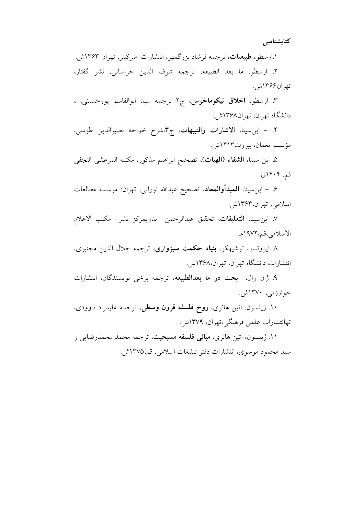كتابشناسى

۱.ارسطو، طبیعیات، ترجمه فرشاد بزرگمهر، انتشارات امیرکبیر، تهران ۱۳۶۳ش.

٢. ارسطو، ما بعد الطبيعه، ترجمه شرف الدين خراساني، نشر گفتار، تهران۱۳۶۶ش.

۳. ارسطو، **اخلاق نیکوماخوس**، ج۲ ترجمه سید ابوالقاسم پورحسینی، ، دانشگاه تهران، تهران۸۶۸ش.

۴. - ابن سینا، الاشارات والتبیهات، ج۳،شرح خواجه نصیرالدین طوسی، مؤسسه نعمان، بيروت١۴١٣ش.

۵. ابن سينا، **الشفاء (الهيات**)، تصحيح ابراهيم مذكور، مكتبه المرعشى النجفى قم، ۱۴۰۴ق.

۶. – ابنٍسينا، **المبدأوالمعاد**، تصحيح عبدالله نوراني، تهران: موسسه مطالعات اسلامي، تهران،۱۳۶۳ش.

٧. ابنِ سينا، **التعليقات**، تحقيق عبدالرحمن بدويمركز نشر– مكتب الاعلام الاسلامي،قم،١٩٧٢م.

۸ ایزوتسو، توشیهکو، **بنیاد حکمت سبزواری**، ترجمه جلال الدین مجتبوی، انتشارات دانشگاه تهران، تهران،۱۳۶۸ش.

۹. ژان وال، بحث در ما بعدالطبیعه، ترجمه برخی نویسندگان، انتشارات خوارزمي، ۱۳۷۰ش.

۱۰. ژیلسون، اتین هانری، **روح فلسفه قرون وسطی**، ترجمه علیمراد داوودی، تهانتشارات علمي فرهنگي،تهران، ۱۳۷۹ش.

۱۱. ژیلسون، اتین هانری، **مبانی فلسفه مسیحیت**، ترجمه محمد محمدرضایی و سيد محمود موسوى، انتشارات دفتر تبليغات اسلامي، قم،١٣٧۵ش.